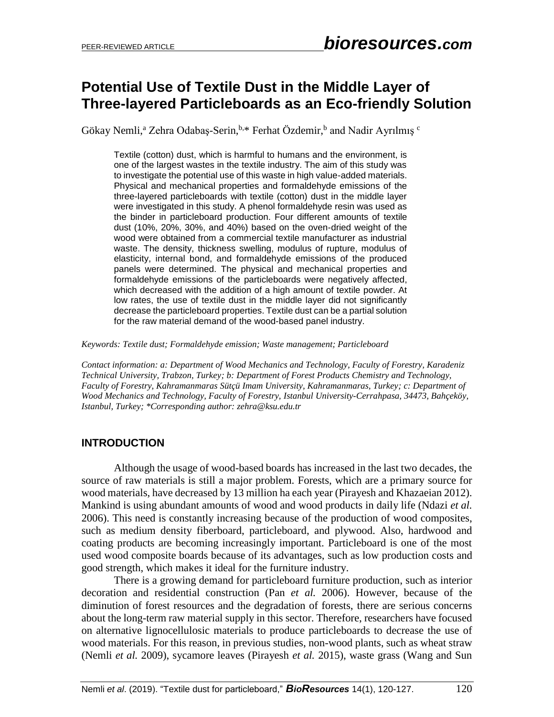# **Potential Use of Textile Dust in the Middle Layer of Three-layered Particleboards as an Eco-friendly Solution**

Gökay Nemli,<sup>a</sup> Zehra Odabaş-Serin, <sup>b,\*</sup> Ferhat Özdemir, b and Nadir Ayrılmış <sup>c</sup>

Textile (cotton) dust, which is harmful to humans and the environment, is one of the largest wastes in the textile industry. The aim of this study was to investigate the potential use of this waste in high value-added materials. Physical and mechanical properties and formaldehyde emissions of the three-layered particleboards with textile (cotton) dust in the middle layer were investigated in this study. A phenol formaldehyde resin was used as the binder in particleboard production. Four different amounts of textile dust (10%, 20%, 30%, and 40%) based on the oven-dried weight of the wood were obtained from a commercial textile manufacturer as industrial waste. The density, thickness swelling, modulus of rupture, modulus of elasticity, internal bond, and formaldehyde emissions of the produced panels were determined. The physical and mechanical properties and formaldehyde emissions of the particleboards were negatively affected, which decreased with the addition of a high amount of textile powder. At low rates, the use of textile dust in the middle layer did not significantly decrease the particleboard properties. Textile dust can be a partial solution for the raw material demand of the wood-based panel industry.

*Keywords: Textile dust; Formaldehyde emission; Waste management; Particleboard*

*Contact information: a: Department of Wood Mechanics and Technology, Faculty of Forestry, Karadeniz Technical University, Trabzon, Turkey; b: Department of Forest Products Chemistry and Technology, Faculty of Forestry, Kahramanmaras Sütçü Imam University, Kahramanmaras, Turkey; c: Department of Wood Mechanics and Technology, Faculty of Forestry, Istanbul University-Cerrahpasa, 34473, Bahçeköy, Istanbul, Turkey; \*Corresponding author: zehra@ksu.edu.tr*

## **INTRODUCTION**

Although the usage of wood-based boards has increased in the last two decades, the source of raw materials is still a major problem. Forests, which are a primary source for wood materials, have decreased by 13 million ha each year (Pirayesh and Khazaeian 2012). Mankind is using abundant amounts of wood and wood products in daily life (Ndazi *et al.* 2006). This need is constantly increasing because of the production of wood composites, such as medium density fiberboard, particleboard, and plywood. Also, hardwood and coating products are becoming increasingly important. Particleboard is one of the most used wood composite boards because of its advantages, such as low production costs and good strength, which makes it ideal for the furniture industry.

There is a growing demand for particleboard furniture production, such as interior decoration and residential construction (Pan *et al.* 2006). However, because of the diminution of forest resources and the degradation of forests, there are serious concerns about the long-term raw material supply in this sector. Therefore, researchers have focused on alternative lignocellulosic materials to produce particleboards to decrease the use of wood materials. For this reason, in previous studies, non-wood plants, such as wheat straw (Nemli *et al.* 2009), sycamore leaves (Pirayesh *et al.* 2015), waste grass (Wang and Sun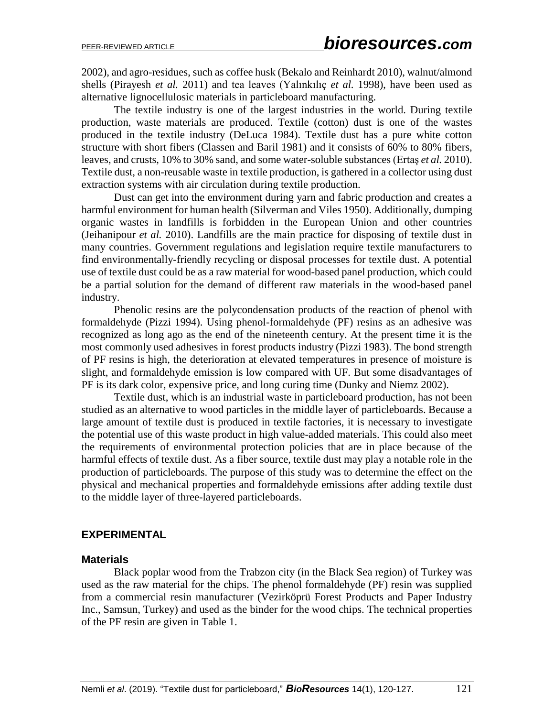2002), and agro-residues, such as coffee husk (Bekalo and Reinhardt 2010), walnut/almond shells (Pirayesh *et al.* 2011) and tea leaves (Yalınkılıç *et al.* 1998), have been used as alternative lignocellulosic materials in particleboard manufacturing.

The textile industry is one of the largest industries in the world. During textile production, waste materials are produced. Textile (cotton) dust is one of the wastes produced in the textile industry (DeLuca 1984). Textile dust has a pure white cotton structure with short fibers (Classen and Baril 1981) and it consists of 60% to 80% fibers, leaves, and crusts, 10% to 30% sand, and some water-soluble substances (Ertaş *et al.* 2010). Textile dust, a non-reusable waste in textile production, is gathered in a collector using dust extraction systems with air circulation during textile production.

Dust can get into the environment during yarn and fabric production and creates a harmful environment for human health (Silverman and Viles 1950). Additionally, dumping organic wastes in landfills is forbidden in the European Union and other countries (Jeihanipour *et al.* 2010). Landfills are the main practice for disposing of textile dust in many countries. Government regulations and legislation require textile manufacturers to find environmentally-friendly recycling or disposal processes for textile dust. A potential use of textile dust could be as a raw material for wood-based panel production, which could be a partial solution for the demand of different raw materials in the wood-based panel industry.

Phenolic resins are the polycondensation products of the reaction of phenol with formaldehyde (Pizzi 1994). Using phenol-formaldehyde (PF) resins as an adhesive was recognized as long ago as the end of the nineteenth century. At the present time it is the most commonly used adhesives in forest products industry (Pizzi 1983). The bond strength of PF resins is high, the deterioration at elevated temperatures in presence of moisture is slight, and formaldehyde emission is low compared with UF. But some disadvantages of PF is its dark color, expensive price, and long curing time (Dunky and Niemz 2002).

Textile dust, which is an industrial waste in particleboard production, has not been studied as an alternative to wood particles in the middle layer of particleboards. Because a large amount of textile dust is produced in textile factories, it is necessary to investigate the potential use of this waste product in high value-added materials. This could also meet the requirements of environmental protection policies that are in place because of the harmful effects of textile dust. As a fiber source, textile dust may play a notable role in the production of particleboards. The purpose of this study was to determine the effect on the physical and mechanical properties and formaldehyde emissions after adding textile dust to the middle layer of three-layered particleboards.

#### **EXPERIMENTAL**

#### **Materials**

Black poplar wood from the Trabzon city (in the Black Sea region) of Turkey was used as the raw material for the chips. The phenol formaldehyde (PF) resin was supplied from a commercial resin manufacturer (Vezirköprü Forest Products and Paper Industry Inc., Samsun, Turkey) and used as the binder for the wood chips. The technical properties of the PF resin are given in Table 1.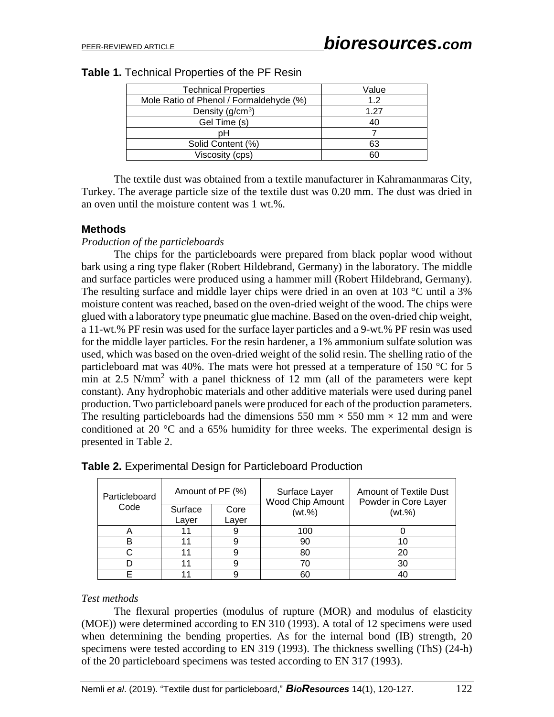| <b>Technical Properties</b>             | Value |
|-----------------------------------------|-------|
| Mole Ratio of Phenol / Formaldehyde (%) | 1.2   |
| Density $(g/cm3)$                       | 1.27  |
| Gel Time (s)                            | 40    |
| pН                                      |       |
| Solid Content (%)                       | 63    |
| Viscosity (cps)                         | ճՈ    |
|                                         |       |

The textile dust was obtained from a textile manufacturer in Kahramanmaras City, Turkey. The average particle size of the textile dust was 0.20 mm. The dust was dried in an oven until the moisture content was 1 wt.%.

#### **Methods**

#### *Production of the particleboards*

The chips for the particleboards were prepared from black poplar wood without bark using a ring type flaker (Robert Hildebrand, Germany) in the laboratory. The middle and surface particles were produced using a hammer mill (Robert Hildebrand, Germany). The resulting surface and middle layer chips were dried in an oven at 103 °C until a 3% moisture content was reached, based on the oven-dried weight of the wood. The chips were glued with a laboratory type pneumatic glue machine. Based on the oven-dried chip weight, a 11-wt.% PF resin was used for the surface layer particles and a 9-wt.% PF resin was used for the middle layer particles. For the resin hardener, a 1% ammonium sulfate solution was used, which was based on the oven-dried weight of the solid resin. The shelling ratio of the particleboard mat was 40%. The mats were hot pressed at a temperature of 150 °C for 5 min at 2.5  $N/mm^2$  with a panel thickness of 12 mm (all of the parameters were kept constant). Any hydrophobic materials and other additive materials were used during panel production. Two particleboard panels were produced for each of the production parameters. The resulting particleboards had the dimensions 550 mm  $\times$  550 mm  $\times$  12 mm and were conditioned at 20  $\degree$ C and a 65% humidity for three weeks. The experimental design is presented in Table 2.

| Particleboard<br>Code | Amount of PF (%) |               | Surface Layer<br>Wood Chip Amount | <b>Amount of Textile Dust</b><br>Powder in Core Layer |  |
|-----------------------|------------------|---------------|-----------------------------------|-------------------------------------------------------|--|
|                       | Surface<br>Layer | Core<br>Layer | (wt.%)                            | (wt. %)                                               |  |
|                       |                  |               | 100                               |                                                       |  |
|                       |                  |               | 90                                | 10                                                    |  |
|                       |                  |               | 80                                | 20                                                    |  |
|                       |                  |               |                                   | 30                                                    |  |
|                       |                  |               | 60                                | 40                                                    |  |

|  |  | <b>Table 2.</b> Experimental Design for Particleboard Production |  |
|--|--|------------------------------------------------------------------|--|
|  |  |                                                                  |  |

#### *Test methods*

The flexural properties (modulus of rupture (MOR) and modulus of elasticity (MOE)) were determined according to EN 310 (1993). A total of 12 specimens were used when determining the bending properties. As for the internal bond (IB) strength, 20 specimens were tested according to EN 319 (1993). The thickness swelling (ThS) (24-h) of the 20 particleboard specimens was tested according to EN 317 (1993).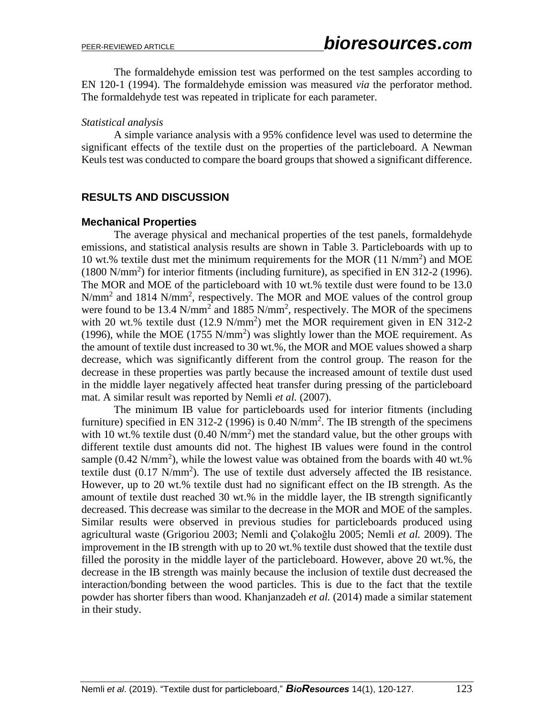The formaldehyde emission test was performed on the test samples according to EN 120-1 (1994). The formaldehyde emission was measured *via* the perforator method. The formaldehyde test was repeated in triplicate for each parameter.

#### *Statistical analysis*

A simple variance analysis with a 95% confidence level was used to determine the significant effects of the textile dust on the properties of the particleboard. A Newman Keuls test was conducted to compare the board groups that showed a significant difference.

# **RESULTS AND DISCUSSION**

## **Mechanical Properties**

The average physical and mechanical properties of the test panels, formaldehyde emissions, and statistical analysis results are shown in Table 3. Particleboards with up to 10 wt.% textile dust met the minimum requirements for the MOR (11 N/mm<sup>2</sup> ) and MOE  $(1800 \text{ N/mm}^2)$  for interior fitments (including furniture), as specified in EN 312-2 (1996). The MOR and MOE of the particleboard with 10 wt.% textile dust were found to be 13.0  $N/mm^2$  and 1814  $N/mm^2$ , respectively. The MOR and MOE values of the control group were found to be 13.4  $N/mm^2$  and 1885  $N/mm^2$ , respectively. The MOR of the specimens with 20 wt.% textile dust  $(12.9 \text{ N/mm}^2)$  met the MOR requirement given in EN 312-2 (1996), while the MOE (1755 N/mm<sup>2</sup>) was slightly lower than the MOE requirement. As the amount of textile dust increased to 30 wt.%, the MOR and MOE values showed a sharp decrease, which was significantly different from the control group. The reason for the decrease in these properties was partly because the increased amount of textile dust used in the middle layer negatively affected heat transfer during pressing of the particleboard mat. A similar result was reported by Nemli *et al.* (2007).

The minimum IB value for particleboards used for interior fitments (including furniture) specified in EN 312-2 (1996) is 0.40  $N/mm^2$ . The IB strength of the specimens with 10 wt.% textile dust  $(0.40 \text{ N/mm}^2)$  met the standard value, but the other groups with different textile dust amounts did not. The highest IB values were found in the control sample  $(0.42 \text{ N/mm}^2)$ , while the lowest value was obtained from the boards with 40 wt.% textile dust  $(0.17 \text{ N/mm}^2)$ . The use of textile dust adversely affected the IB resistance. However, up to 20 wt.% textile dust had no significant effect on the IB strength. As the amount of textile dust reached 30 wt.% in the middle layer, the IB strength significantly decreased. This decrease was similar to the decrease in the MOR and MOE of the samples. Similar results were observed in previous studies for particleboards produced using agricultural waste (Grigoriou 2003; Nemli and Çolakoğlu 2005; Nemli *et al.* 2009). The improvement in the IB strength with up to 20 wt.% textile dust showed that the textile dust filled the porosity in the middle layer of the particleboard. However, above 20 wt.%, the decrease in the IB strength was mainly because the inclusion of textile dust decreased the interaction/bonding between the wood particles. This is due to the fact that the textile powder has shorter fibers than wood. Khanjanzadeh *et al.* (2014) made a similar statement in their study.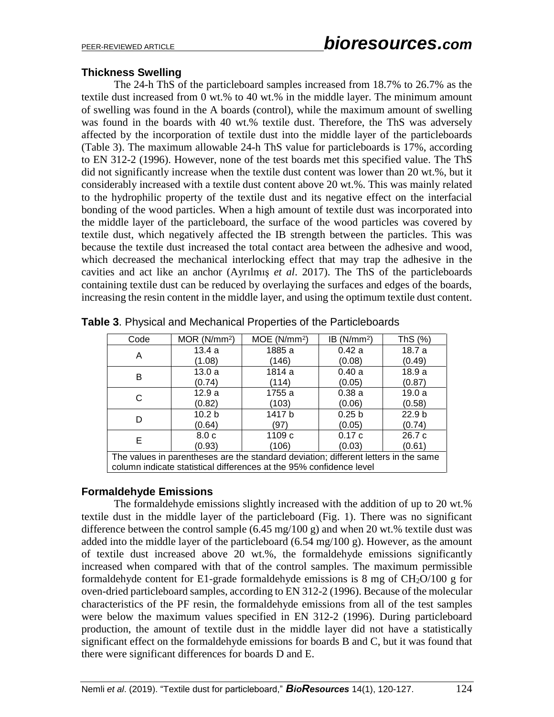# **Thickness Swelling**

The 24-h ThS of the particleboard samples increased from 18.7% to 26.7% as the textile dust increased from 0 wt.% to 40 wt.% in the middle layer. The minimum amount of swelling was found in the A boards (control), while the maximum amount of swelling was found in the boards with 40 wt.% textile dust. Therefore, the ThS was adversely affected by the incorporation of textile dust into the middle layer of the particleboards (Table 3). The maximum allowable 24-h ThS value for particleboards is 17%, according to EN 312-2 (1996). However, none of the test boards met this specified value. The ThS did not significantly increase when the textile dust content was lower than 20 wt.%, but it considerably increased with a textile dust content above 20 wt.%. This was mainly related to the hydrophilic property of the textile dust and its negative effect on the interfacial bonding of the wood particles. When a high amount of textile dust was incorporated into the middle layer of the particleboard, the surface of the wood particles was covered by textile dust, which negatively affected the IB strength between the particles. This was because the textile dust increased the total contact area between the adhesive and wood, which decreased the mechanical interlocking effect that may trap the adhesive in the cavities and act like an anchor (Ayrılmış *et al*. 2017). The ThS of the particleboards containing textile dust can be reduced by overlaying the surfaces and edges of the boards, increasing the resin content in the middle layer, and using the optimum textile dust content.

| Code                                                                                | MOR (N/mm <sup>2</sup> ) | MOE(N/mm <sup>2</sup> ) | IB(N/mm <sup>2</sup> ) | ThS $(%)$         |
|-------------------------------------------------------------------------------------|--------------------------|-------------------------|------------------------|-------------------|
| A                                                                                   | 13.4a                    | 1885 a                  | 0.42a                  | 18.7 a            |
|                                                                                     | (1.08)                   | (146)                   | (0.08)                 | (0.49)            |
| в                                                                                   | 13.0a                    | 1814 a                  | 0.40a                  | 18.9a             |
|                                                                                     | (0.74)                   | (114)                   | (0.05)                 | (0.87)            |
| C                                                                                   | 12.9a                    | 1755 a                  | 0.38a                  | 19.0a             |
|                                                                                     | (0.82)                   | (103)                   | (0.06)                 | (0.58)            |
| D                                                                                   | 10.2 <sub>b</sub>        | 1417 b                  | 0.25 <sub>b</sub>      | 22.9 <sub>b</sub> |
|                                                                                     | (0.64)                   | (97                     | (0.05)                 | (0.74)            |
| Е                                                                                   | 8.0 <sub>c</sub>         | 1109 c                  | 0.17c                  | 26.7 c            |
|                                                                                     | (0.93)                   | (106)                   | (0.03)                 | (0.61)            |
| The values in parentheses are the standard deviation; different letters in the same |                          |                         |                        |                   |
| column indicate statistical differences at the 95% confidence level                 |                          |                         |                        |                   |

**Table 3**. Physical and Mechanical Properties of the Particleboards

## **Formaldehyde Emissions**

The formaldehyde emissions slightly increased with the addition of up to 20 wt.% textile dust in the middle layer of the particleboard (Fig. 1). There was no significant difference between the control sample  $(6.45 \text{ mg}/100 \text{ g})$  and when 20 wt.% textile dust was added into the middle layer of the particleboard (6.54 mg/100 g). However, as the amount of textile dust increased above 20 wt.%, the formaldehyde emissions significantly increased when compared with that of the control samples. The maximum permissible formaldehyde content for E1-grade formaldehyde emissions is 8 mg of  $CH<sub>2</sub>O/100$  g for oven-dried particleboard samples, according to EN 312-2 (1996). Because of the molecular characteristics of the PF resin, the formaldehyde emissions from all of the test samples were below the maximum values specified in EN 312-2 (1996). During particleboard production, the amount of textile dust in the middle layer did not have a statistically significant effect on the formaldehyde emissions for boards B and C, but it was found that there were significant differences for boards D and E.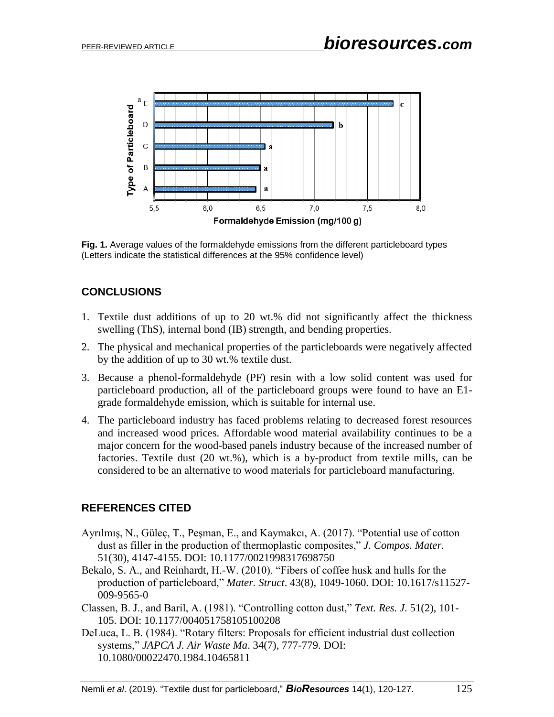

**Fig. 1.** Average values of the formaldehyde emissions from the different particleboard types (Letters indicate the statistical differences at the 95% confidence level)

# **CONCLUSIONS**

- 1. Textile dust additions of up to 20 wt.% did not significantly affect the thickness swelling (ThS), internal bond (IB) strength, and bending properties.
- 2. The physical and mechanical properties of the particleboards were negatively affected by the addition of up to 30 wt.% textile dust.
- 3. Because a phenol-formaldehyde (PF) resin with a low solid content was used for particleboard production, all of the particleboard groups were found to have an E1 grade formaldehyde emission, which is suitable for internal use.
- 4. The particleboard industry has faced problems relating to decreased forest resources and increased wood prices. Affordable wood material availability continues to be a major concern for the wood-based panels industry because of the increased number of factories. Textile dust (20 wt.%), which is a by-product from textile mills, can be considered to be an alternative to wood materials for particleboard manufacturing.

# **REFERENCES CITED**

- Ayrılmış, N., Güleç, T., Peşman, E., and Kaymakcı, A. (2017). "Potential use of cotton dust as filler in the production of thermoplastic composites," *J. Compos. Mater.* 51(30), 4147-4155. DOI: 10.1177/0021998317698750
- Bekalo, S. A., and Reinhardt, H.-W. (2010). "Fibers of coffee husk and hulls for the production of particleboard," *Mater. Struct*. 43(8), 1049-1060. DOI: 10.1617/s11527- 009-9565-0
- Classen, B. J., and Baril, A. (1981). "Controlling cotton dust," *Text. Res. J*. 51(2), 101- 105. DOI: 10.1177/004051758105100208
- DeLuca, L. B. (1984). "Rotary filters: Proposals for efficient industrial dust collection systems," *JAPCA J. Air Waste Ma*. 34(7), 777-779. DOI: 10.1080/00022470.1984.10465811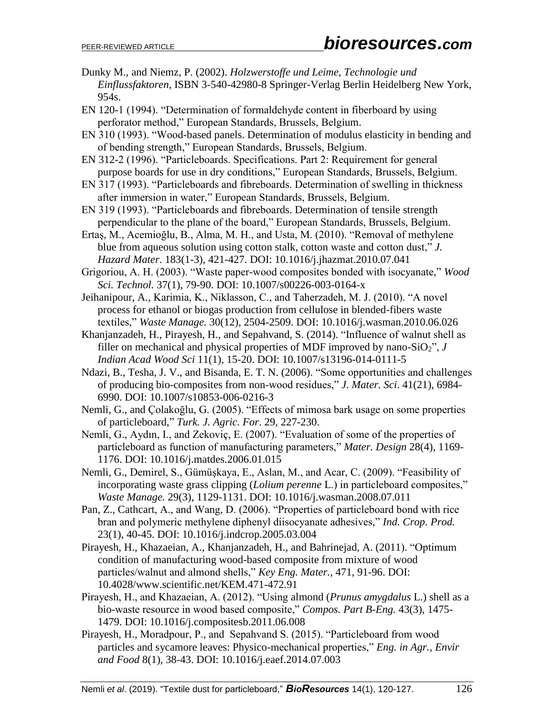- Dunky M., and Niemz, P. (2002). *Holzwerstoffe und Leime, Technologie und Einflussfaktoren*, ISBN 3-540-42980-8 Springer-Verlag Berlin Heidelberg New York, 954s.
- EN 120-1 (1994). "Determination of formaldehyde content in fiberboard by using perforator method," European Standards, Brussels, Belgium.
- EN 310 (1993). "Wood-based panels. Determination of modulus elasticity in bending and of bending strength," European Standards, Brussels, Belgium.
- EN 312-2 (1996). "Particleboards. Specifications. Part 2: Requirement for general purpose boards for use in dry conditions," European Standards, Brussels, Belgium.
- EN 317 (1993). "Particleboards and fibreboards. Determination of swelling in thickness after immersion in water," European Standards, Brussels, Belgium.
- EN 319 (1993). "Particleboards and fibreboards. Determination of tensile strength perpendicular to the plane of the board," European Standards, Brussels, Belgium.
- Ertaş, M., Acemioğlu, B., Alma, M. H., and Usta, M. (2010). "Removal of methylene blue from aqueous solution using cotton stalk, cotton waste and cotton dust," *J. Hazard Mater*. 183(1-3), 421-427. DOI: 10.1016/j.jhazmat.2010.07.041
- Grigoriou, A. H. (2003). "Waste paper-wood composites bonded with isocyanate," *Wood Sci. Technol.* 37(1), 79-90. DOI: 10.1007/s00226-003-0164-x
- Jeihanipour, A., Karimia, K., Niklasson, C., and Taherzadeh, M. J. (2010). "A novel process for ethanol or biogas production from cellulose in blended-fibers waste textiles," *Waste Manage.* 30(12), 2504-2509. DOI: 10.1016/j.wasman.2010.06.026
- Khanjanzadeh, H., Pirayesh, H., and Sepahvand, S. (2014). "Influence of walnut shell as filler on mechanical and physical properties of MDF improved by nano-SiO<sub>2</sub>",  $J$ *Indian Acad Wood Sci* 11(1), 15-20. DOI: 10.1007/s13196-014-0111-5
- Ndazi, B., Tesha, J. V., and Bisanda, E. T. N. (2006). "Some opportunities and challenges of producing bio-composites from non-wood residues," *J. Mater. Sci*. 41(21), 6984- 6990. DOI: 10.1007/s10853-006-0216-3
- Nemli, G., and Çolakoğlu, G. (2005). "Effects of mimosa bark usage on some properties of particleboard," *Turk. J. Agric. For*. 29, 227-230.
- Nemli, G., Aydın, I., and Zekoviç, E. (2007). "Evaluation of some of the properties of particleboard as function of manufacturing parameters," *Mater. Design* 28(4), 1169- 1176. DOI: 10.1016/j.matdes.2006.01.015
- Nemli, G., Demirel, S., Gümüşkaya, E., Aslan, M., and Acar, C. (2009). "Feasibility of incorporating waste grass clipping (*Lolium perenne* L.) in particleboard composites," *Waste Manage.* 29(3), 1129-1131. DOI: 10.1016/j.wasman.2008.07.011
- Pan, Z., Cathcart, A., and Wang, D. (2006). "Properties of particleboard bond with rice bran and polymeric methylene diphenyl diisocyanate adhesives," *Ind. Crop. Prod.*  23(1), 40-45. DOI: 10.1016/j.indcrop.2005.03.004
- Pirayesh, H., Khazaeian, A., Khanjanzadeh, H., and Bahrinejad, A. (2011). "Optimum condition of manufacturing wood-based composite from mixture of wood particles/walnut and almond shells," *Key Eng. Mater.*, 471, 91-96. DOI: 10.4028/www.scientific.net/KEM.471-472.91
- Pirayesh, H., and Khazaeian, A. (2012). "Using almond (*Prunus amygdalus* L.) shell as a bio-waste resource in wood based composite," *Compos. Part B-Eng.* 43(3), 1475- 1479. DOI: 10.1016/j.compositesb.2011.06.008
- Pirayesh, H., Moradpour, P., and Sepahvand S. (2015). "Particleboard from wood particles and sycamore leaves: Physico-mechanical properties," *Eng. in Agr., Envir and Food* 8(1), 38-43. DOI: 10.1016/j.eaef.2014.07.003